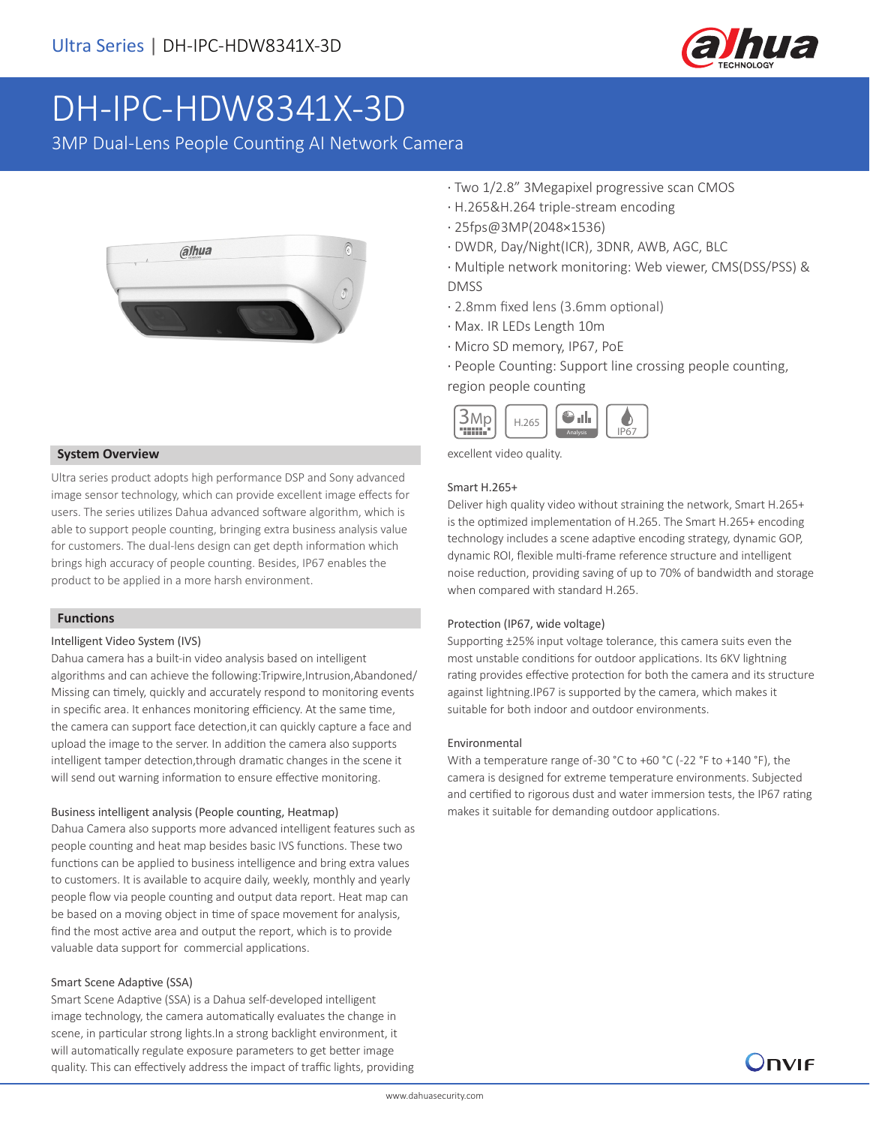

# DH-IPC-HDW8341X-3D

3MP Dual-Lens People Counting AI Network Camera



#### **System Overview**

Ultra series product adopts high performance DSP and Sony advanced image sensor technology, which can provide excellent image effects for users. The series utilizes Dahua advanced software algorithm, which is able to support people counting, bringing extra business analysis value for customers. The dual-lens design can get depth information which brings high accuracy of people counting. Besides, IP67 enables the product to be applied in a more harsh environment.

#### **Functions**

#### Intelligent Video System (IVS)

Dahua camera has a built-in video analysis based on intelligent algorithms and can achieve the following:Tripwire,Intrusion,Abandoned/ Missing can timely, quickly and accurately respond to monitoring events in specific area. It enhances monitoring efficiency. At the same time, the camera can support face detection,it can quickly capture a face and upload the image to the server. In addition the camera also supports intelligent tamper detection,through dramatic changes in the scene it will send out warning information to ensure effective monitoring.

#### Business intelligent analysis (People counting, Heatmap)

Dahua Camera also supports more advanced intelligent features such as people counting and heat map besides basic IVS functions. These two functions can be applied to business intelligence and bring extra values to customers. It is available to acquire daily, weekly, monthly and yearly people flow via people counting and output data report. Heat map can be based on a moving object in time of space movement for analysis, find the most active area and output the report, which is to provide valuable data support for commercial applications.

#### Smart Scene Adaptive (SSA)

Smart Scene Adaptive (SSA) is a Dahua self-developed intelligent image technology, the camera automatically evaluates the change in scene, in particular strong lights.In a strong backlight environment, it will automatically regulate exposure parameters to get better image quality. This can effectively address the impact of traffic lights, providing

- · Two 1/2.8" 3Megapixel progressive scan CMOS
- · H.265&H.264 triple-stream encoding
- · 25fps@3MP(2048×1536)
- · DWDR, Day/Night(ICR), 3DNR, AWB, AGC, BLC
- · Multiple network monitoring: Web viewer, CMS(DSS/PSS) & DMSS
- · 2.8mm fixed lens (3.6mm optional)
- · Max. IR LEDs Length 10m
- · Micro SD memory, IP67, PoE
- · People Counting: Support line crossing people counting,

#### region people counting



excellent video quality.

#### Smart H.265+

Deliver high quality video without straining the network, Smart H.265+ is the optimized implementation of H.265. The Smart H.265+ encoding technology includes a scene adaptive encoding strategy, dynamic GOP, dynamic ROI, flexible multi-frame reference structure and intelligent noise reduction, providing saving of up to 70% of bandwidth and storage when compared with standard H.265.

#### Protection (IP67, wide voltage)

Supporting ±25% input voltage tolerance, this camera suits even the most unstable conditions for outdoor applications. Its 6KV lightning rating provides effective protection for both the camera and its structure against lightning.IP67 is supported by the camera, which makes it suitable for both indoor and outdoor environments.

#### Environmental

With a temperature range of-30 °C to +60 °C (-22 °F to +140 °F), the camera is designed for extreme temperature environments. Subjected and certified to rigorous dust and water immersion tests, the IP67 rating makes it suitable for demanding outdoor applications.

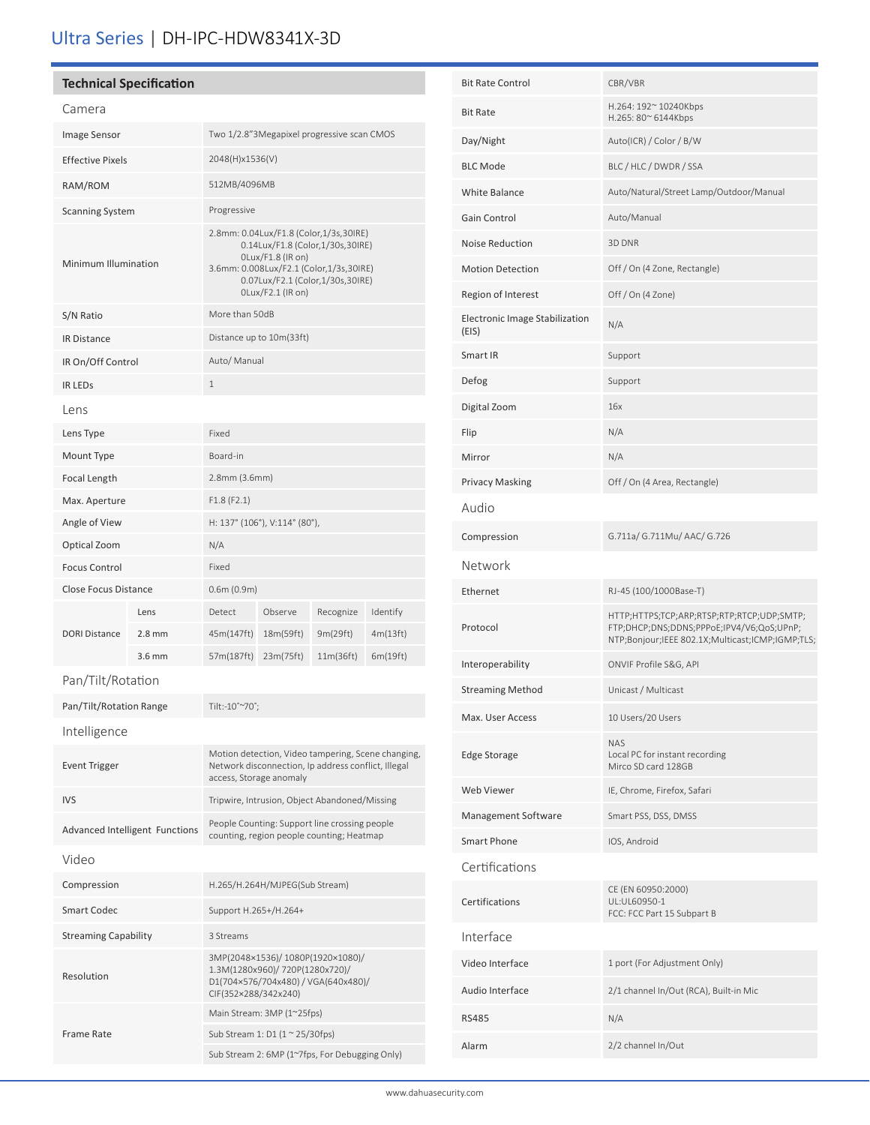# Ultra Series | DH-IPC-HDW8341X-3D

### **Technical Specification**

#### Camera

| Calileid                       |          |                                                                                                                                                                                                     |           |           |          |
|--------------------------------|----------|-----------------------------------------------------------------------------------------------------------------------------------------------------------------------------------------------------|-----------|-----------|----------|
| Image Sensor                   |          | Two 1/2.8"3Megapixel progressive scan CMOS                                                                                                                                                          |           |           |          |
| <b>Effective Pixels</b>        |          | 2048(H)x1536(V)                                                                                                                                                                                     |           |           |          |
| RAM/ROM                        |          | 512MB/4096MB                                                                                                                                                                                        |           |           |          |
| <b>Scanning System</b>         |          | Progressive                                                                                                                                                                                         |           |           |          |
| Minimum Illumination           |          | 2.8mm: 0.04Lux/F1.8 (Color,1/3s,30IRE)<br>0.14Lux/F1.8 (Color,1/30s,30IRE)<br>OLux/F1.8 (IR on)<br>3.6mm: 0.008Lux/F2.1 (Color,1/3s,30IRE)<br>0.07Lux/F2.1 (Color,1/30s,30IRE)<br>OLux/F2.1 (IR on) |           |           |          |
| S/N Ratio                      |          | More than 50dB                                                                                                                                                                                      |           |           |          |
| <b>IR Distance</b>             |          | Distance up to 10m(33ft)                                                                                                                                                                            |           |           |          |
| IR On/Off Control              |          | Auto/ Manual                                                                                                                                                                                        |           |           |          |
| <b>IR LEDS</b>                 |          | $\mathbf{1}$                                                                                                                                                                                        |           |           |          |
| Lens                           |          |                                                                                                                                                                                                     |           |           |          |
| Lens Type                      |          | Fixed                                                                                                                                                                                               |           |           |          |
| Mount Type                     |          | Board-in                                                                                                                                                                                            |           |           |          |
| Focal Length                   |          | 2.8mm (3.6mm)                                                                                                                                                                                       |           |           |          |
| Max. Aperture                  |          | F1.8(F2.1)                                                                                                                                                                                          |           |           |          |
| Angle of View                  |          | H: 137° (106°), V:114° (80°),                                                                                                                                                                       |           |           |          |
| Optical Zoom                   |          | N/A                                                                                                                                                                                                 |           |           |          |
| <b>Focus Control</b>           |          | Fixed                                                                                                                                                                                               |           |           |          |
| <b>Close Focus Distance</b>    |          | 0.6m(0.9m)                                                                                                                                                                                          |           |           |          |
| <b>DORI Distance</b>           | Lens     | Detect                                                                                                                                                                                              | Observe   | Recognize | Identify |
|                                | $2.8$ mm | 45m(147ft)                                                                                                                                                                                          | 18m(59ft) | 9m(29ft)  | 4m(13ft) |
|                                | 3.6 mm   | 57m(187ft)                                                                                                                                                                                          | 23m(75ft) | 11m(36ft) | 6m(19ft) |
| Pan/Tilt/Rotation              |          |                                                                                                                                                                                                     |           |           |          |
| Pan/Tilt/Rotation Range        |          | Tilt:-10°~70°;                                                                                                                                                                                      |           |           |          |
| Intelligence                   |          |                                                                                                                                                                                                     |           |           |          |
| <b>Event Trigger</b>           |          | Motion detection, Video tampering, Scene changing,<br>Network disconnection, Ip address conflict, Illegal<br>access, Storage anomaly                                                                |           |           |          |
| <b>IVS</b>                     |          | Tripwire, Intrusion, Object Abandoned/Missing                                                                                                                                                       |           |           |          |
| Advanced Intelligent Functions |          | People Counting: Support line crossing people<br>counting, region people counting; Heatmap                                                                                                          |           |           |          |
| Video                          |          |                                                                                                                                                                                                     |           |           |          |
| Compression                    |          | H.265/H.264H/MJPEG(Sub Stream)                                                                                                                                                                      |           |           |          |
| <b>Smart Codec</b>             |          | Support H.265+/H.264+                                                                                                                                                                               |           |           |          |
| <b>Streaming Capability</b>    |          | 3 Streams                                                                                                                                                                                           |           |           |          |
| Resolution                     |          | 3MP(2048×1536)/1080P(1920×1080)/<br>1.3M(1280x960)/ 720P(1280x720)/<br>D1(704×576/704x480) / VGA(640x480)/<br>CIF(352×288/342x240)                                                                  |           |           |          |
| <b>Frame Rate</b>              |          | Main Stream: 3MP (1~25fps)                                                                                                                                                                          |           |           |          |
|                                |          | Sub Stream 1: D1 (1 ~ 25/30fps)                                                                                                                                                                     |           |           |          |
|                                |          | Sub Stream 2: 6MP (1~7fps, For Debugging Only)                                                                                                                                                      |           |           |          |

| <b>Bit Rate Control</b>                 | CBR/VBR                                                                                                                                     |
|-----------------------------------------|---------------------------------------------------------------------------------------------------------------------------------------------|
| <b>Bit Rate</b>                         | H.264: 192~ 10240Kbps<br>H.265: 80~ 6144Kbps                                                                                                |
| Day/Night                               | Auto(ICR) / Color / B/W                                                                                                                     |
| <b>BLC Mode</b>                         | BLC / HLC / DWDR / SSA                                                                                                                      |
| White Balance                           | Auto/Natural/Street Lamp/Outdoor/Manual                                                                                                     |
| Gain Control                            | Auto/Manual                                                                                                                                 |
| Noise Reduction                         | 3D DNR                                                                                                                                      |
| <b>Motion Detection</b>                 | Off / On (4 Zone, Rectangle)                                                                                                                |
| Region of Interest                      | Off / On (4 Zone)                                                                                                                           |
| Electronic Image Stabilization<br>(EIS) | N/A                                                                                                                                         |
| Smart IR                                | Support                                                                                                                                     |
| Defog                                   | Support                                                                                                                                     |
| Digital Zoom                            | 16x                                                                                                                                         |
| Flip                                    | N/A                                                                                                                                         |
| Mirror                                  | N/A                                                                                                                                         |
| <b>Privacy Masking</b>                  | Off / On (4 Area, Rectangle)                                                                                                                |
| Audio                                   |                                                                                                                                             |
| Compression                             | G.711a/ G.711Mu/ AAC/ G.726                                                                                                                 |
|                                         |                                                                                                                                             |
| Network                                 |                                                                                                                                             |
| Ethernet                                | RJ-45 (100/1000Base-T)                                                                                                                      |
| Protocol                                | HTTP;HTTPS;TCP;ARP;RTSP;RTP;RTCP;UDP;SMTP;<br>FTP;DHCP;DNS;DDNS;PPPoE;IPV4/V6;QoS;UPnP;<br>NTP;Bonjour;IEEE 802.1X;Multicast;ICMP;IGMP;TLS; |
| Interoperability                        | ONVIF Profile S&G, API                                                                                                                      |
| <b>Streaming Method</b>                 | Unicast / Multicast                                                                                                                         |
| Max. User Access                        | 10 Users/20 Users                                                                                                                           |
| <b>Edge Storage</b>                     | <b>NAS</b><br>Local PC for instant recording<br>Mirco SD card 128GB                                                                         |
| Web Viewer                              | IE, Chrome, Firefox, Safari                                                                                                                 |
| Management Software                     | Smart PSS, DSS, DMSS                                                                                                                        |
| <b>Smart Phone</b>                      | IOS, Android                                                                                                                                |
| Certifications                          |                                                                                                                                             |
| Certifications                          | CE (EN 60950:2000)<br>UL:UL60950-1<br>FCC: FCC Part 15 Subpart B                                                                            |
| Interface                               |                                                                                                                                             |
| Video Interface                         | 1 port (For Adjustment Only)                                                                                                                |
| Audio Interface                         | 2/1 channel In/Out (RCA), Built-in Mic                                                                                                      |
| <b>RS485</b>                            | N/A                                                                                                                                         |